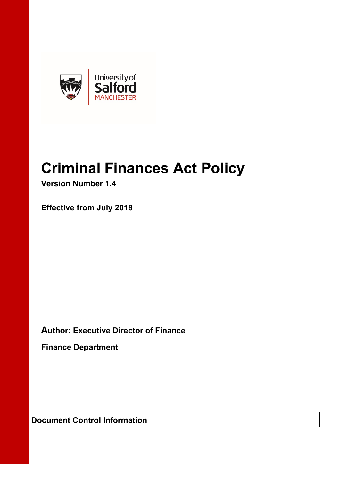

# **Criminal Finances Act Policy**

**Version Number 1.4**

**Effective from July 2018**

**Author: Executive Director of Finance** 

**Finance Department**

**Document Control Information**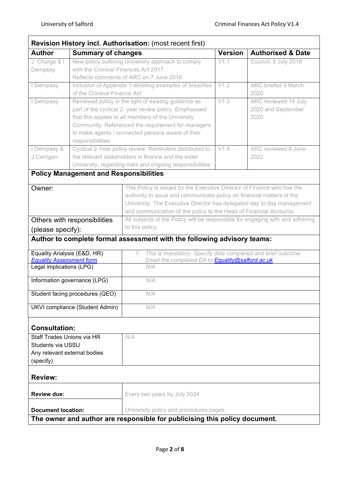|                                   |                                                         | Revision History incl. Authorisation: (most recent first)                     |                |                              |
|-----------------------------------|---------------------------------------------------------|-------------------------------------------------------------------------------|----------------|------------------------------|
| <b>Author</b>                     | <b>Summary of changes</b>                               |                                                                               | <b>Version</b> | <b>Authorised &amp; Date</b> |
| J. Charge & I                     |                                                         | New policy outlining University approach to comply                            | V1.1           | Council, 6 July 2018         |
| Dempsey                           | with the Criminal Finances Act 2017.                    | Reflects comments of ARC on 7 June 2018.                                      |                |                              |
| I Dempsey                         |                                                         | Inclusion of Appendix 1 detailing examples of breaches                        | V1.2           | ARC briefed 3 March          |
|                                   | of the Criminal Finance Act                             |                                                                               |                | 2020                         |
| I Dempsey                         |                                                         | Reviewed policy in the light of existing guidance as                          | V1.3           | ARC reviewed 14 July         |
|                                   |                                                         | part of the cyclical 2- year review policy. Emphasised                        |                | 2020 and September           |
|                                   |                                                         | that this applies to all members of the University                            |                | 2020                         |
|                                   |                                                         | Community. Referenced the requirement for managers                            |                |                              |
|                                   |                                                         | to make agents / connected persons aware of their                             |                |                              |
|                                   | responsibilities.                                       |                                                                               |                |                              |
| I Dempsey &                       | Cyclical 2-Year policy review. Reminders distributed to |                                                                               | V1.4           | ARC reviewed 8 June          |
| J Carrigan                        |                                                         | the relevant stakeholders in finance and the wider                            |                | 2022                         |
|                                   |                                                         | University, regarding risks and ongoing responsibilities.                     |                |                              |
|                                   | <b>Policy Management and Responsibilities</b>           |                                                                               |                |                              |
| Owner:                            |                                                         | This Policy is issued by the Executive Director of Finance who has the        |                |                              |
|                                   |                                                         | authority to issue and communicate policy on financial matters of the         |                |                              |
|                                   |                                                         | University. The Executive Director has delegated day to day management        |                |                              |
|                                   |                                                         | and communication of the policy to the Head of Financial Accounts.            |                |                              |
| Others with responsibilities      |                                                         | All subjects of the Policy will be responsible for engaging with and adhering |                |                              |
|                                   |                                                         |                                                                               |                |                              |
|                                   |                                                         | to this policy.                                                               |                |                              |
| (please specify):                 |                                                         |                                                                               |                |                              |
|                                   |                                                         | Author to complete formal assessment with the following advisory teams:       |                |                              |
| Equality Analysis (E&D, HR)       |                                                         | This is mandatory. Specify date completed and brief outcome.<br>1.            |                |                              |
| <b>Equality Assessment form</b>   |                                                         | Email the completed EA to <b>Equality@salford.ac.uk</b>                       |                |                              |
| Legal implications (LPG)          |                                                         | N/A                                                                           |                |                              |
|                                   | Information governance (LPG)                            | N/A                                                                           |                |                              |
|                                   | Student facing procedures (QEO)                         | N/A                                                                           |                |                              |
|                                   | UKVI compliance (Student Admin)                         | N/A                                                                           |                |                              |
|                                   |                                                         |                                                                               |                |                              |
| <b>Consultation:</b>              |                                                         |                                                                               |                |                              |
| <b>Staff Trades Unions via HR</b> |                                                         | N/A                                                                           |                |                              |
| Students via USSU                 |                                                         |                                                                               |                |                              |
| Any relevant external bodies      |                                                         |                                                                               |                |                              |
| (specify)                         |                                                         |                                                                               |                |                              |
|                                   |                                                         |                                                                               |                |                              |
| <b>Review:</b>                    |                                                         |                                                                               |                |                              |
|                                   |                                                         |                                                                               |                |                              |
| <b>Review due:</b>                |                                                         | Every two years by July 2024                                                  |                |                              |
| <b>Document location:</b>         |                                                         | University policy and procedures pages                                        |                |                              |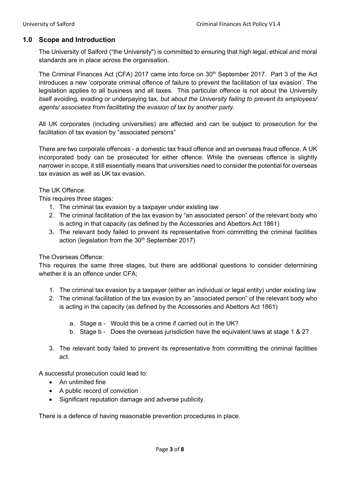# **1.0 Scope and Introduction**

The University of Salford ("the University") is committed to ensuring that high legal, ethical and moral standards are in place across the organisation.

The Criminal Finances Act (CFA) 2017 came into force on 30<sup>th</sup> September 2017. Part 3 of the Act introduces a new 'corporate criminal offence of failure to prevent the facilitation of tax evasion'. The legislation applies to all business and all taxes. This particular offence is not about the University itself avoiding, evading or underpaying tax, *but about the University failing to prevent its employees/ agents/ associates from facilitating the evasion of tax by another party.*

All UK corporates (including universities) are affected and can be subject to prosecution for the facilitation of tax evasion by "associated persons"

There are two corporate offences - a domestic tax fraud offence and an overseas fraud offence. A UK incorporated body can be prosecuted for either offence. While the overseas offence is slightly narrower in scope, it still essentially means that universities need to consider the potential for overseas tax evasion as well as UK tax evasion.

#### The UK Offence:

This requires three stages:

- 1. The criminal tax evasion by a taxpayer under existing law
- 2. The criminal facilitation of the tax evasion by "an associated person" of the relevant body who is acting in that capacity (as defined by the Accessories and Abettors Act 1861)
- 3. The relevant body failed to prevent its representative from committing the criminal facilities action (legislation from the 30<sup>th</sup> September 2017)

# The Overseas Offence:

This requires the same three stages, but there are additional questions to consider determining whether it is an offence under CFA;

- 1. The criminal tax evasion by a taxpayer (either an individual or legal entity) under existing law
- 2. The criminal facilitation of the tax evasion by an "associated person" of the relevant body who is acting in the capacity (as defined by the Accessories and Abettors Act 1861)
	- a. Stage a Would this be a crime if carried out in the UK?
	- b. Stage b Does the overseas jurisdiction have the equivalent laws at stage 1 & 2?
- 3. The relevant body failed to prevent its representative from committing the criminal facilities act.

A successful prosecution could lead to:

- An unlimited fine
- A public record of conviction
- Significant reputation damage and adverse publicity.

There is a defence of having reasonable prevention procedures in place.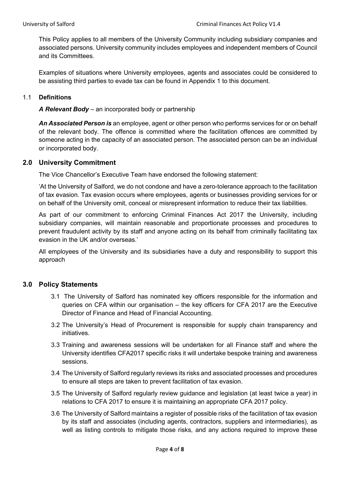This Policy applies to all members of the University Community including subsidiary companies and associated persons. University community includes employees and independent members of Council and its Committees.

Examples of situations where University employees, agents and associates could be considered to be assisting third parties to evade tax can be found in Appendix 1 to this document.

### 1.1 **Definitions**

*A Relevant Body* – an incorporated body or partnership

*An Associated Person is* an employee, agent or other person who performs services for or on behalf of the relevant body. The offence is committed where the facilitation offences are committed by someone acting in the capacity of an associated person. The associated person can be an individual or incorporated body.

#### **2.0 University Commitment**

The Vice Chancellor's Executive Team have endorsed the following statement:

'At the University of Salford, we do not condone and have a zero-tolerance approach to the facilitation of tax evasion. Tax evasion occurs where employees, agents or businesses providing services for or on behalf of the University omit, conceal or misrepresent information to reduce their tax liabilities.

As part of our commitment to enforcing Criminal Finances Act 2017 the University, including subsidiary companies, will maintain reasonable and proportionate processes and procedures to prevent fraudulent activity by its staff and anyone acting on its behalf from criminally facilitating tax evasion in the UK and/or overseas.'

All employees of the University and its subsidiaries have a duty and responsibility to support this approach

# **3.0 Policy Statements**

- 3.1 The University of Salford has nominated key officers responsible for the information and queries on CFA within our organisation – the key officers for CFA 2017 are the Executive Director of Finance and Head of Financial Accounting.
- 3.2 The University's Head of Procurement is responsible for supply chain transparency and initiatives.
- 3.3 Training and awareness sessions will be undertaken for all Finance staff and where the University identifies CFA2017 specific risks it will undertake bespoke training and awareness sessions.
- 3.4 The University of Salford regularly reviews its risks and associated processes and procedures to ensure all steps are taken to prevent facilitation of tax evasion.
- 3.5 The University of Salford regularly review guidance and legislation (at least twice a year) in relations to CFA 2017 to ensure it is maintaining an appropriate CFA 2017 policy.
- 3.6 The University of Salford maintains a register of possible risks of the facilitation of tax evasion by its staff and associates (including agents, contractors, suppliers and intermediaries), as well as listing controls to mitigate those risks, and any actions required to improve these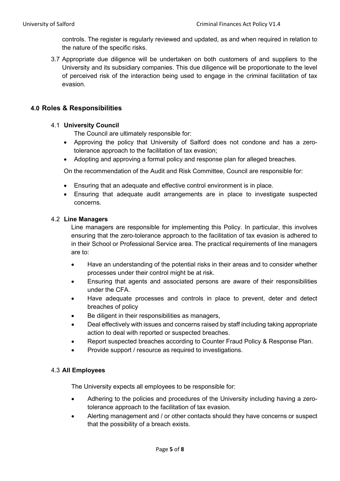controls. The register is regularly reviewed and updated, as and when required in relation to the nature of the specific risks.

3.7 Appropriate due diligence will be undertaken on both customers of and suppliers to the University and its subsidiary companies. This due diligence will be proportionate to the level of perceived risk of the interaction being used to engage in the criminal facilitation of tax evasion.

# **4.0 Roles & Responsibilities**

#### 4.1 **University Council**

The Council are ultimately responsible for:

- Approving the policy that University of Salford does not condone and has a zerotolerance approach to the facilitation of tax evasion;
- Adopting and approving a formal policy and response plan for alleged breaches.

On the recommendation of the Audit and Risk Committee, Council are responsible for:

- Ensuring that an adequate and effective control environment is in place.
- Ensuring that adequate audit arrangements are in place to investigate suspected concerns.

#### 4.2 **Line Managers**

Line managers are responsible for implementing this Policy. In particular, this involves ensuring that the zero-tolerance approach to the facilitation of tax evasion is adhered to in their School or Professional Service area. The practical requirements of line managers are to:

- Have an understanding of the potential risks in their areas and to consider whether processes under their control might be at risk.
- Ensuring that agents and associated persons are aware of their responsibilities under the CFA.
- Have adequate processes and controls in place to prevent, deter and detect breaches of policy
- Be diligent in their responsibilities as managers,
- Deal effectively with issues and concerns raised by staff including taking appropriate action to deal with reported or suspected breaches.
- Report suspected breaches according to Counter Fraud Policy & Response Plan.
- Provide support / resource as required to investigations.

#### 4.3 **All Employees**

The University expects all employees to be responsible for:

- Adhering to the policies and procedures of the University including having a zerotolerance approach to the facilitation of tax evasion.
- Alerting management and / or other contacts should they have concerns or suspect that the possibility of a breach exists.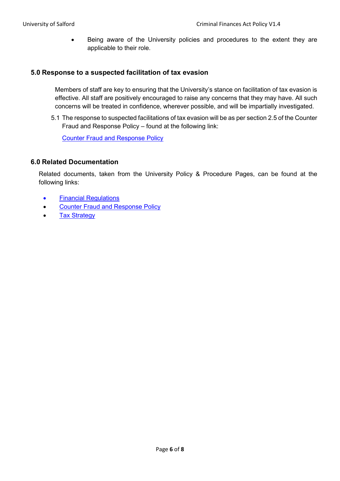• Being aware of the University policies and procedures to the extent they are applicable to their role.

#### **5.0 Response to a suspected facilitation of tax evasion**

Members of staff are key to ensuring that the University's stance on facilitation of tax evasion is effective. All staff are positively encouraged to raise any concerns that they may have. All such concerns will be treated in confidence, wherever possible, and will be impartially investigated.

5.1 The response to suspected facilitations of tax evasion will be as per section 2.5 of the Counter Fraud and Response Policy – found at the following link:

[Counter Fraud and Response Policy](https://www.salford.ac.uk/sites/default/files/2020-10/CounterFraudPolicy.pdf#:%7E:text=The%20University%20of%20Salford%20%28%E2%80%9Cthe%20University%22%29%20is%20committed,to%20countering%20any%20form%20of%20fraud%20or%20corruption.)

#### **6.0 Related Documentation**

Related documents, taken from the University Policy & Procedure Pages, can be found at the following links:

- [Financial Regulations](https://www.salford.ac.uk/sites/default/files/2022-04/FinancialRegulations.pdf)
- Counter [Fraud and Response Policy](https://www.salford.ac.uk/sites/default/files/2020-10/CounterFraudPolicy.pdf)
- **[Tax Strategy](https://www.salford.ac.uk/sites/default/files/2021-10/TaxStrategy.pdf)**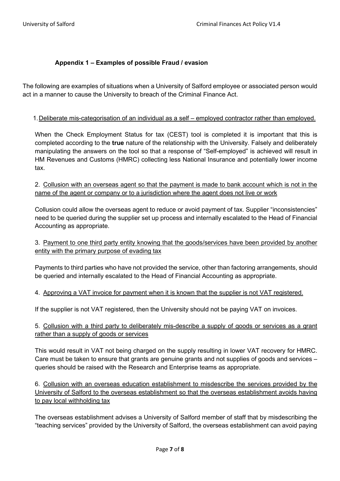# **Appendix 1 – Examples of possible Fraud / evasion**

The following are examples of situations when a University of Salford employee or associated person would act in a manner to cause the University to breach of the Criminal Finance Act.

#### 1.Deliberate mis-categorisation of an individual as a self – employed contractor rather than employed.

When the Check Employment Status for tax (CEST) tool is completed it is important that this is completed according to the **true** nature of the relationship with the University. Falsely and deliberately manipulating the answers on the tool so that a response of "Self-employed" is achieved will result in HM Revenues and Customs (HMRC) collecting less National Insurance and potentially lower income tax.

2. Collusion with an overseas agent so that the payment is made to bank account which is not in the name of the agent or company or to a jurisdiction where the agent does not live or work

Collusion could allow the overseas agent to reduce or avoid payment of tax. Supplier "inconsistencies" need to be queried during the supplier set up process and internally escalated to the Head of Financial Accounting as appropriate.

3. Payment to one third party entity knowing that the goods/services have been provided by another entity with the primary purpose of evading tax

Payments to third parties who have not provided the service, other than factoring arrangements, should be queried and internally escalated to the Head of Financial Accounting as appropriate.

4. Approving a VAT invoice for payment when it is known that the supplier is not VAT registered.

If the supplier is not VAT registered, then the University should not be paying VAT on invoices.

# 5. Collusion with a third party to deliberately mis-describe a supply of goods or services as a grant rather than a supply of goods or services

This would result in VAT not being charged on the supply resulting in lower VAT recovery for HMRC. Care must be taken to ensure that grants are genuine grants and not supplies of goods and services – queries should be raised with the Research and Enterprise teams as appropriate.

6. Collusion with an overseas education establishment to misdescribe the services provided by the University of Salford to the overseas establishment so that the overseas establishment avoids having to pay local withholding tax

The overseas establishment advises a University of Salford member of staff that by misdescribing the "teaching services" provided by the University of Salford, the overseas establishment can avoid paying